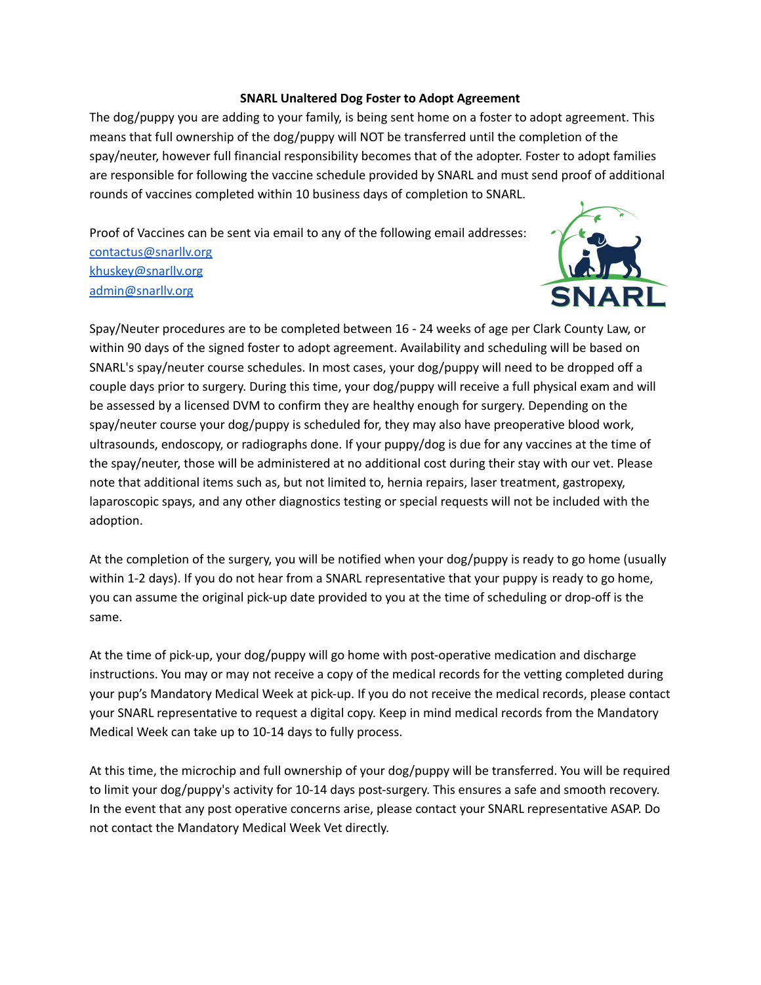## **SNARL Unaltered Dog Foster to Adopt Agreement**

The dog/puppy you are adding to your family, is being sent home on a foster to adopt agreement. This means that full ownership of the dog/puppy will NOT be transferred until the completion of the spay/neuter, however full financial responsibility becomes that of the adopter. Foster to adopt families are responsible for following the vaccine schedule provided by SNARL and must send proof of additional rounds of vaccines completed within 10 business days of completion to SNARL.

Proof of Vaccines can be sent via email to any of the following email addresses: [contactus@snarllv.org](mailto:contactus@snarllv.org) [khuskey@snarllv.org](mailto:khuskey@snarllv.org) [admin@snarllv.org](mailto:admin@snarllv.org)



Spay/Neuter procedures are to be completed between 16 - 24 weeks of age per Clark County Law, or within 90 days of the signed foster to adopt agreement. Availability and scheduling will be based on SNARL's spay/neuter course schedules. In most cases, your dog/puppy will need to be dropped off a couple days prior to surgery. During this time, your dog/puppy will receive a full physical exam and will be assessed by a licensed DVM to confirm they are healthy enough for surgery. Depending on the spay/neuter course your dog/puppy is scheduled for, they may also have preoperative blood work, ultrasounds, endoscopy, or radiographs done. If your puppy/dog is due for any vaccines at the time of the spay/neuter, those will be administered at no additional cost during their stay with our vet. Please note that additional items such as, but not limited to, hernia repairs, laser treatment, gastropexy, laparoscopic spays, and any other diagnostics testing or special requests will not be included with the adoption.

At the completion of the surgery, you will be notified when your dog/puppy is ready to go home (usually within 1-2 days). If you do not hear from a SNARL representative that your puppy is ready to go home, you can assume the original pick-up date provided to you at the time of scheduling or drop-off is the same.

At the time of pick-up, your dog/puppy will go home with post-operative medication and discharge instructions. You may or may not receive a copy of the medical records for the vetting completed during your pup's Mandatory Medical Week at pick-up. If you do not receive the medical records, please contact your SNARL representative to request a digital copy. Keep in mind medical records from the Mandatory Medical Week can take up to 10-14 days to fully process.

At this time, the microchip and full ownership of your dog/puppy will be transferred. You will be required to limit your dog/puppy's activity for 10-14 days post-surgery. This ensures a safe and smooth recovery. In the event that any post operative concerns arise, please contact your SNARL representative ASAP. Do not contact the Mandatory Medical Week Vet directly.